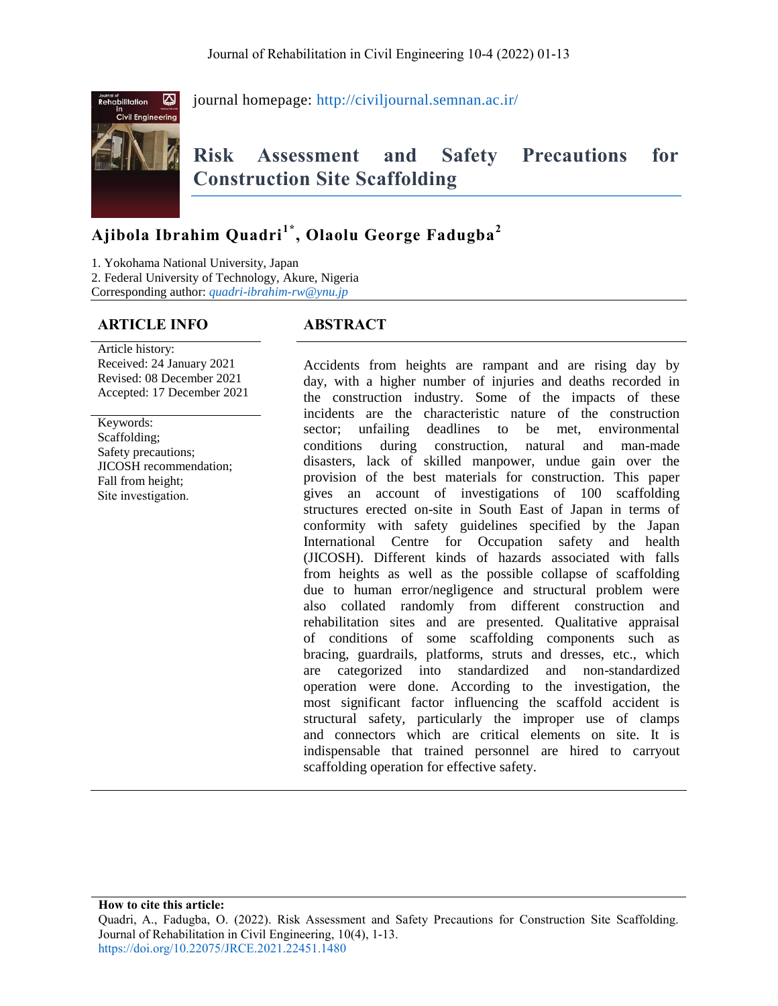

journal homepage: <http://civiljournal.semnan.ac.ir/>

# **Risk Assessment and Safety Precautions for Construction Site Scaffolding**

## **Ajibola Ibrahim Quadri1\* , Olaolu George Fadugba<sup>2</sup>**

1. Yokohama National University, Japan

2. Federal University of Technology, Akure, Nigeria

Corresponding author: *<quadri-ibrahim-rw@ynu.jp>*

## **ARTICLE INFO ABSTRACT**

#### Article history: Received: 24 January 2021 Revised: 08 December 2021 Accepted: 17 December 2021

Keywords: Scaffolding; Safety precautions; JICOSH recommendation; Fall from height; Site investigation.

Accidents from heights are rampant and are rising day by day, with a higher number of injuries and deaths recorded in the construction industry. Some of the impacts of these incidents are the characteristic nature of the construction sector: unfailing deadlines to be met, environmental conditions during construction, natural and man-made disasters, lack of skilled manpower, undue gain over the provision of the best materials for construction. This paper gives an account of investigations of 100 scaffolding structures erected on-site in South East of Japan in terms of conformity with safety guidelines specified by the Japan International Centre for Occupation safety and health (JICOSH). Different kinds of hazards associated with falls from heights as well as the possible collapse of scaffolding due to human error/negligence and structural problem were also collated randomly from different construction and rehabilitation sites and are presented. Qualitative appraisal of conditions of some scaffolding components such as bracing, guardrails, platforms, struts and dresses, etc., which are categorized into standardized and non-standardized operation were done. According to the investigation, the most significant factor influencing the scaffold accident is structural safety, particularly the improper use of clamps and connectors which are critical elements on site. It is indispensable that trained personnel are hired to carryout scaffolding operation for effective safety.

**How to cite this article:**

Quadri, A., Fadugba, O. (2022). Risk Assessment and Safety Precautions for Construction Site Scaffolding. Journal of Rehabilitation in Civil Engineering, 10(4), 1-13. <https://doi.org/10.22075/JRCE.2021.22451.1480>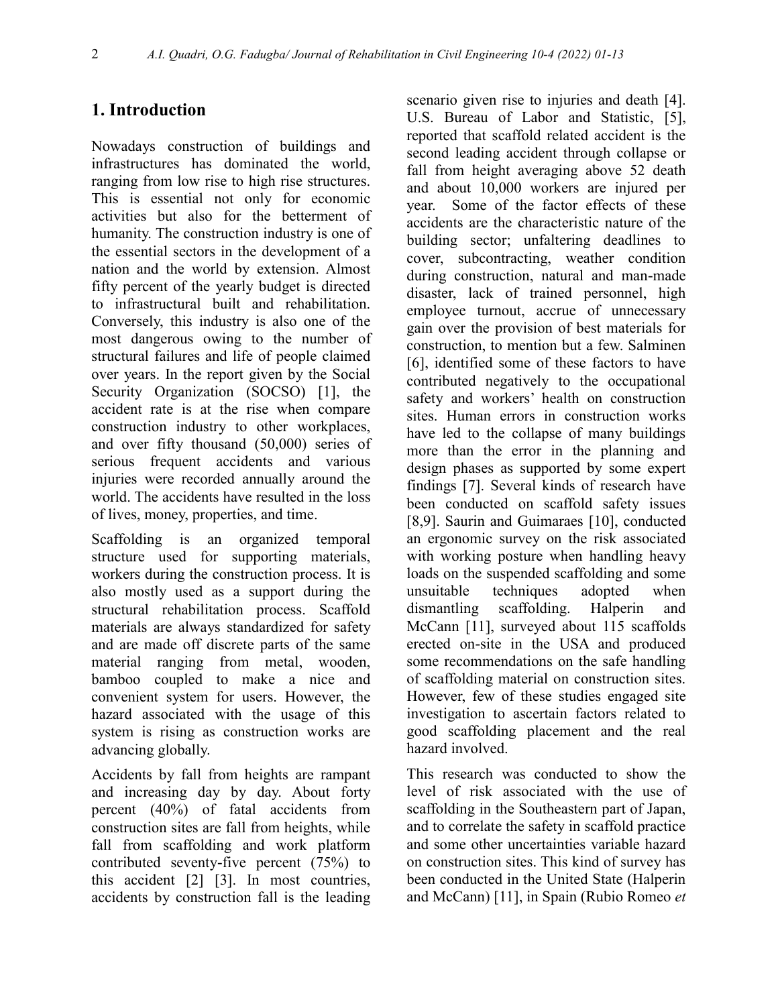## **1. Introduction**

Nowadays construction of buildings and infrastructures has dominated the world, ranging from low rise to high rise structures. This is essential not only for economic activities but also for the betterment of humanity. The construction industry is one of the essential sectors in the development of a nation and the world by extension. Almost fifty percent of the yearly budget is directed to infrastructural built and rehabilitation. Conversely, this industry is also one of the most dangerous owing to the number of structural failures and life of people claimed over years. In the report given by the Social Security Organization (SOCSO) [1], the accident rate is at the rise when compare construction industry to other workplaces, and over fifty thousand (50,000) series of serious frequent accidents and various injuries were recorded annually around the world. The accidents have resulted in the loss of lives, money, properties, and time.

Scaffolding is an organized temporal structure used for supporting materials, workers during the construction process. It is also mostly used as a support during the structural rehabilitation process. Scaffold materials are always standardized for safety and are made off discrete parts of the same material ranging from metal, wooden, bamboo coupled to make a nice and convenient system for users. However, the hazard associated with the usage of this system is rising as construction works are advancing globally.

Accidents by fall from heights are rampant and increasing day by day. About forty percent (40%) of fatal accidents from construction sites are fall from heights, while fall from scaffolding and work platform contributed seventy-five percent (75%) to this accident [2] [3]. In most countries, accidents by construction fall is the leading

scenario given rise to injuries and death [4]. U.S. Bureau of Labor and Statistic, [5], reported that scaffold related accident is the second leading accident through collapse or fall from height averaging above 52 death and about 10,000 workers are injured per year. Some of the factor effects of these accidents are the characteristic nature of the building sector; unfaltering deadlines to cover, subcontracting, weather condition during construction, natural and man-made disaster, lack of trained personnel, high employee turnout, accrue of unnecessary gain over the provision of best materials for construction, to mention but a few. Salminen [6], identified some of these factors to have contributed negatively to the occupational safety and workers' health on construction sites. Human errors in construction works have led to the collapse of many buildings more than the error in the planning and design phases as supported by some expert findings [7]. Several kinds of research have been conducted on scaffold safety issues [8,9]. Saurin and Guimaraes [10], conducted an ergonomic survey on the risk associated with working posture when handling heavy loads on the suspended scaffolding and some unsuitable techniques adopted when dismantling scaffolding. Halperin and McCann [11], surveyed about 115 scaffolds erected on-site in the USA and produced some recommendations on the safe handling of scaffolding material on construction sites. However, few of these studies engaged site investigation to ascertain factors related to good scaffolding placement and the real hazard involved.

This research was conducted to show the level of risk associated with the use of scaffolding in the Southeastern part of Japan, and to correlate the safety in scaffold practice and some other uncertainties variable hazard on construction sites. This kind of survey has been conducted in the United State (Halperin and McCann) [11], in Spain (Rubio Romeo *et*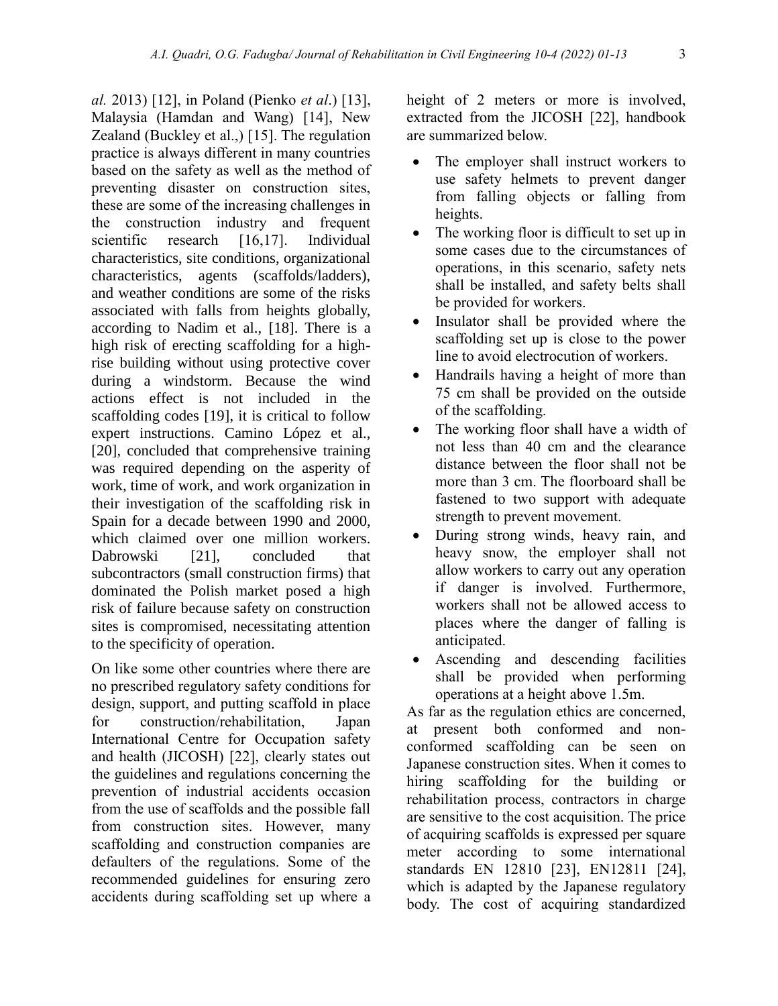*al.* 2013) [12], in Poland (Pienko *et al*.) [13], Malaysia (Hamdan and Wang) [14], New Zealand (Buckley et al.,) [15]. The regulation practice is always different in many countries based on the safety as well as the method of preventing disaster on construction sites, these are some of the increasing challenges in the construction industry and frequent scientific research [16,17]. Individual characteristics, site conditions, organizational characteristics, agents (scaffolds/ladders), and weather conditions are some of the risks associated with falls from heights globally, according to Nadim et al., [18]. There is a high risk of erecting scaffolding for a highrise building without using protective cover during a windstorm. Because the wind actions effect is not included in the scaffolding codes [19], it is critical to follow expert instructions. Camino López et al., [20], concluded that comprehensive training was required depending on the asperity of work, time of work, and work organization in their investigation of the scaffolding risk in Spain for a decade between 1990 and 2000, which claimed over one million workers. Dabrowski [21], concluded that subcontractors (small construction firms) that dominated the Polish market posed a high risk of failure because safety on construction sites is compromised, necessitating attention to the specificity of operation.

On like some other countries where there are no prescribed regulatory safety conditions for design, support, and putting scaffold in place for construction/rehabilitation, Japan International Centre for Occupation safety and health (JICOSH) [22], clearly states out the guidelines and regulations concerning the prevention of industrial accidents occasion from the use of scaffolds and the possible fall from construction sites. However, many scaffolding and construction companies are defaulters of the regulations. Some of the recommended guidelines for ensuring zero accidents during scaffolding set up where a height of 2 meters or more is involved, extracted from the JICOSH [22], handbook are summarized below.

- The employer shall instruct workers to use safety helmets to prevent danger from falling objects or falling from heights.
- The working floor is difficult to set up in some cases due to the circumstances of operations, in this scenario, safety nets shall be installed, and safety belts shall be provided for workers.
- Insulator shall be provided where the scaffolding set up is close to the power line to avoid electrocution of workers.
- Handrails having a height of more than 75 cm shall be provided on the outside of the scaffolding.
- The working floor shall have a width of not less than 40 cm and the clearance distance between the floor shall not be more than 3 cm. The floorboard shall be fastened to two support with adequate strength to prevent movement.
- During strong winds, heavy rain, and heavy snow, the employer shall not allow workers to carry out any operation if danger is involved. Furthermore, workers shall not be allowed access to places where the danger of falling is anticipated.
- Ascending and descending facilities shall be provided when performing operations at a height above 1.5m.

As far as the regulation ethics are concerned, at present both conformed and nonconformed scaffolding can be seen on Japanese construction sites. When it comes to hiring scaffolding for the building or rehabilitation process, contractors in charge are sensitive to the cost acquisition. The price of acquiring scaffolds is expressed per square meter according to some international standards EN 12810 [23], EN12811 [24], which is adapted by the Japanese regulatory body. The cost of acquiring standardized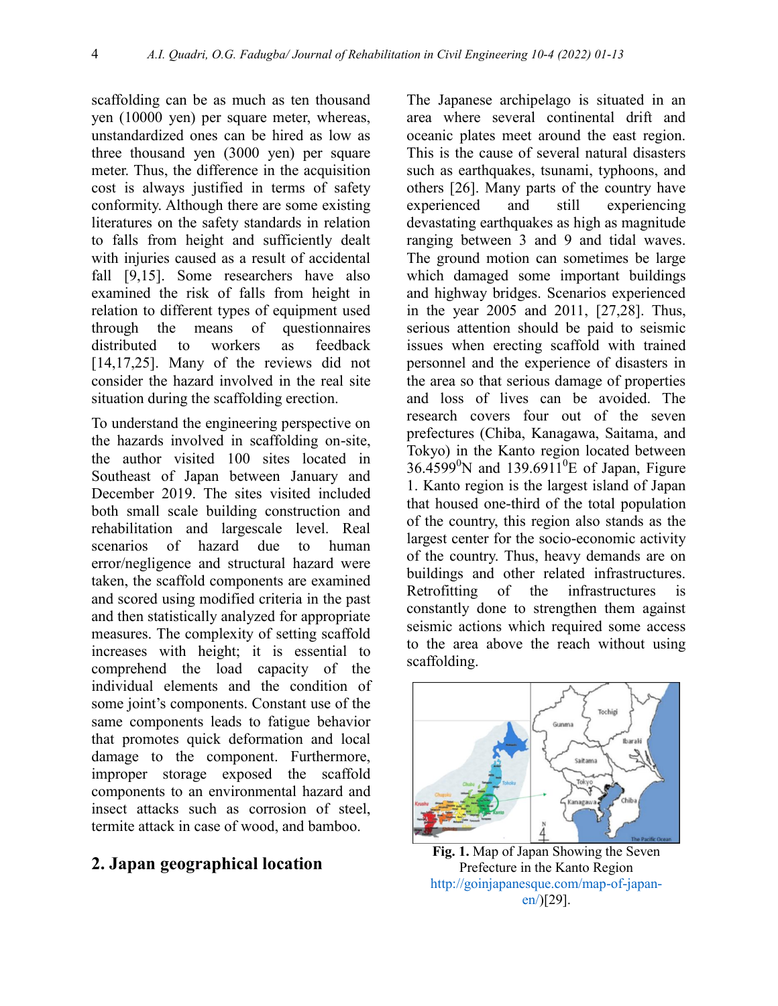scaffolding can be as much as ten thousand yen (10000 yen) per square meter, whereas, unstandardized ones can be hired as low as three thousand yen (3000 yen) per square meter. Thus, the difference in the acquisition cost is always justified in terms of safety conformity. Although there are some existing literatures on the safety standards in relation to falls from height and sufficiently dealt with injuries caused as a result of accidental fall [9,15]. Some researchers have also examined the risk of falls from height in relation to different types of equipment used through the means of questionnaires distributed to workers as feedback [14,17,25]. Many of the reviews did not consider the hazard involved in the real site situation during the scaffolding erection.

To understand the engineering perspective on the hazards involved in scaffolding on-site, the author visited 100 sites located in Southeast of Japan between January and December 2019. The sites visited included both small scale building construction and rehabilitation and largescale level. Real scenarios of hazard due to human error/negligence and structural hazard were taken, the scaffold components are examined and scored using modified criteria in the past and then statistically analyzed for appropriate measures. The complexity of setting scaffold increases with height; it is essential to comprehend the load capacity of the individual elements and the condition of some joint's components. Constant use of the same components leads to fatigue behavior that promotes quick deformation and local damage to the component. Furthermore, improper storage exposed the scaffold components to an environmental hazard and insect attacks such as corrosion of steel, termite attack in case of wood, and bamboo.

### **2. Japan geographical location**

The Japanese archipelago is situated in an area where several continental drift and oceanic plates meet around the east region. This is the cause of several natural disasters such as earthquakes, tsunami, typhoons, and others [26]. Many parts of the country have experienced and still experiencing devastating earthquakes as high as magnitude ranging between 3 and 9 and tidal waves. The ground motion can sometimes be large which damaged some important buildings and highway bridges. Scenarios experienced in the year 2005 and 2011, [27,28]. Thus, serious attention should be paid to seismic issues when erecting scaffold with trained personnel and the experience of disasters in the area so that serious damage of properties and loss of lives can be avoided. The research covers four out of the seven prefectures (Chiba, Kanagawa, Saitama, and Tokyo) in the Kanto region located between  $36.4599^{\circ}$ N and 139.6911<sup>o</sup>E of Japan, Figure 1. Kanto region is the largest island of Japan that housed one-third of the total population of the country, this region also stands as the largest center for the socio-economic activity of the country. Thus, heavy demands are on buildings and other related infrastructures. Retrofitting of the infrastructures is constantly done to strengthen them against seismic actions which required some access to the area above the reach without using scaffolding.



**Fig. 1.** Map of Japan Showing the Seven Prefecture in the Kanto Region [http://goinjapanesque.com/map-of-japan](http://goinjapanesque.com/map-of-japan-en/)[en/\)](http://goinjapanesque.com/map-of-japan-en/)[29].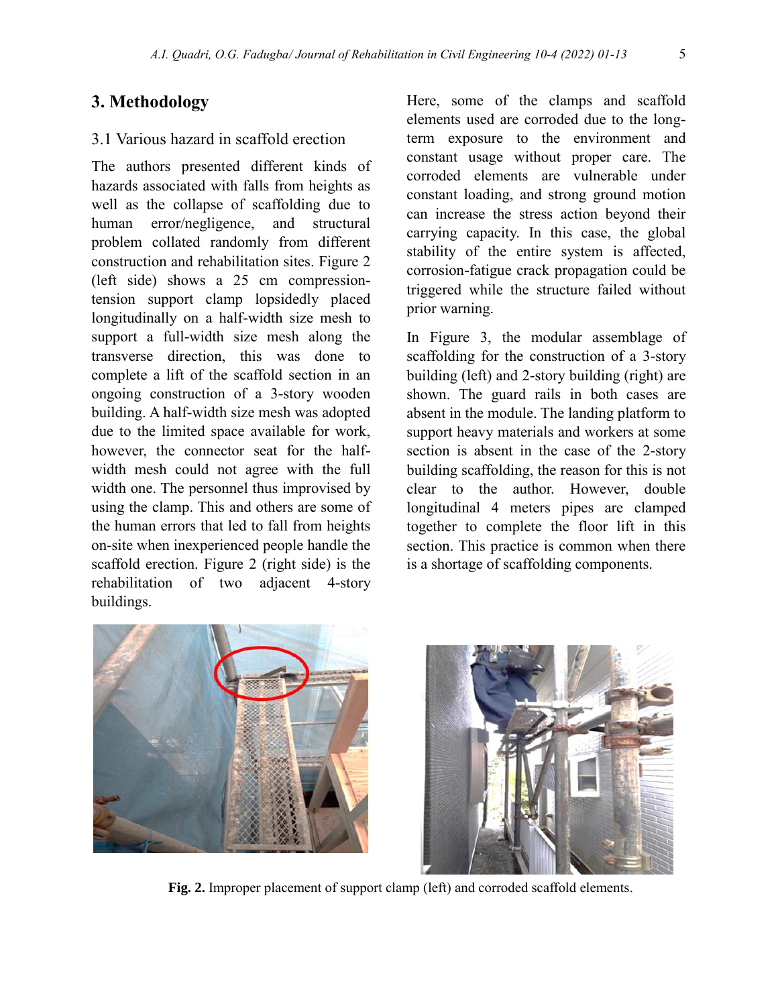## **3. Methodology**

## 3.1 Various hazard in scaffold erection

The authors presented different kinds of hazards associated with falls from heights as well as the collapse of scaffolding due to human error/negligence, and structural problem collated randomly from different construction and rehabilitation sites. Figure 2 (left side) shows a 25 cm compressiontension support clamp lopsidedly placed longitudinally on a half-width size mesh to support a full-width size mesh along the transverse direction, this was done to complete a lift of the scaffold section in an ongoing construction of a 3-story wooden building. A half-width size mesh was adopted due to the limited space available for work, however, the connector seat for the halfwidth mesh could not agree with the full width one. The personnel thus improvised by using the clamp. This and others are some of the human errors that led to fall from heights on-site when inexperienced people handle the scaffold erection. Figure 2 (right side) is the rehabilitation of two adjacent 4-story buildings.

Here, some of the clamps and scaffold elements used are corroded due to the longterm exposure to the environment and constant usage without proper care. The corroded elements are vulnerable under constant loading, and strong ground motion can increase the stress action beyond their carrying capacity. In this case, the global stability of the entire system is affected, corrosion-fatigue crack propagation could be triggered while the structure failed without prior warning.

In Figure 3, the modular assemblage of scaffolding for the construction of a 3-story building (left) and 2-story building (right) are shown. The guard rails in both cases are absent in the module. The landing platform to support heavy materials and workers at some section is absent in the case of the 2-story building scaffolding, the reason for this is not clear to the author. However, double longitudinal 4 meters pipes are clamped together to complete the floor lift in this section. This practice is common when there is a shortage of scaffolding components.





**Fig. 2.** Improper placement of support clamp (left) and corroded scaffold elements.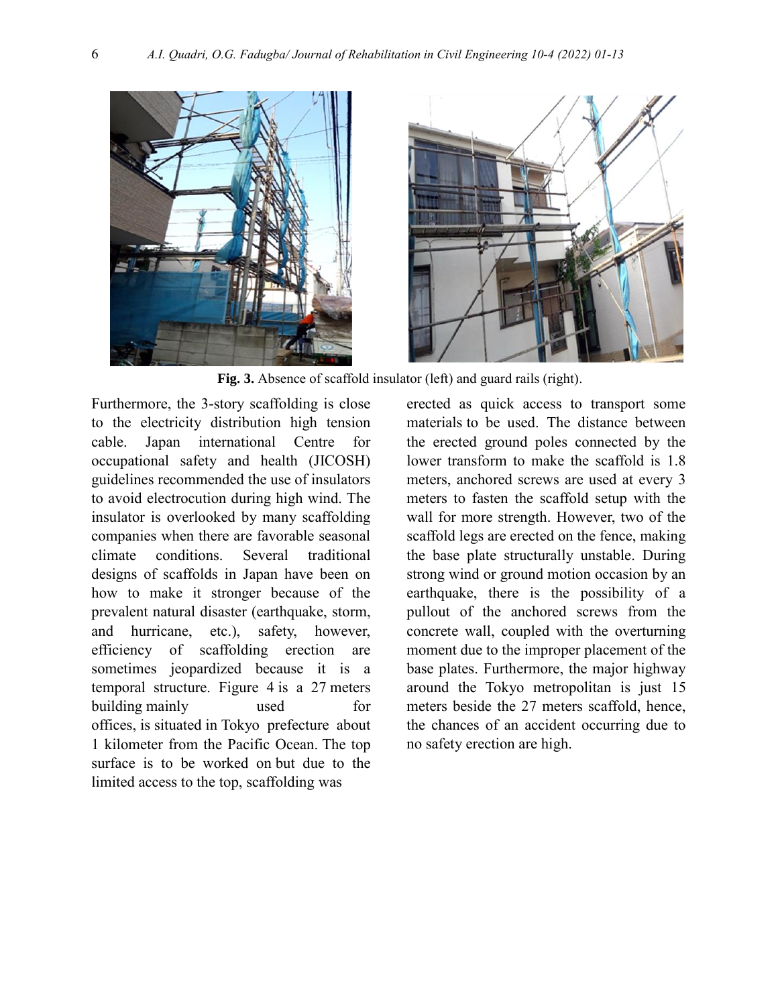



**Fig. 3.** Absence of scaffold insulator (left) and guard rails (right).

Furthermore, the 3-story scaffolding is close to the electricity distribution high tension cable. Japan international Centre for occupational safety and health (JICOSH) guidelines recommended the use of insulators to avoid electrocution during high wind. The insulator is overlooked by many scaffolding companies when there are favorable seasonal climate conditions. Several traditional designs of scaffolds in Japan have been on how to make it stronger because of the prevalent natural disaster (earthquake, storm, and hurricane, etc.), safety, however, efficiency of scaffolding erection are sometimes jeopardized because it is a temporal structure. Figure 4 is a 27 meters building mainly used for offices, is situated in Tokyo prefecture about 1 kilometer from the Pacific Ocean. The top surface is to be worked on but due to the limited access to the top, scaffolding was

erected as quick access to transport some materials to be used. The distance between the erected ground poles connected by the lower transform to make the scaffold is 1.8 meters, anchored screws are used at every 3 meters to fasten the scaffold setup with the wall for more strength. However, two of the scaffold legs are erected on the fence, making the base plate structurally unstable. During strong wind or ground motion occasion by an earthquake, there is the possibility of a pullout of the anchored screws from the concrete wall, coupled with the overturning moment due to the improper placement of the base plates. Furthermore, the major highway around the Tokyo metropolitan is just 15 meters beside the 27 meters scaffold, hence, the chances of an accident occurring due to no safety erection are high.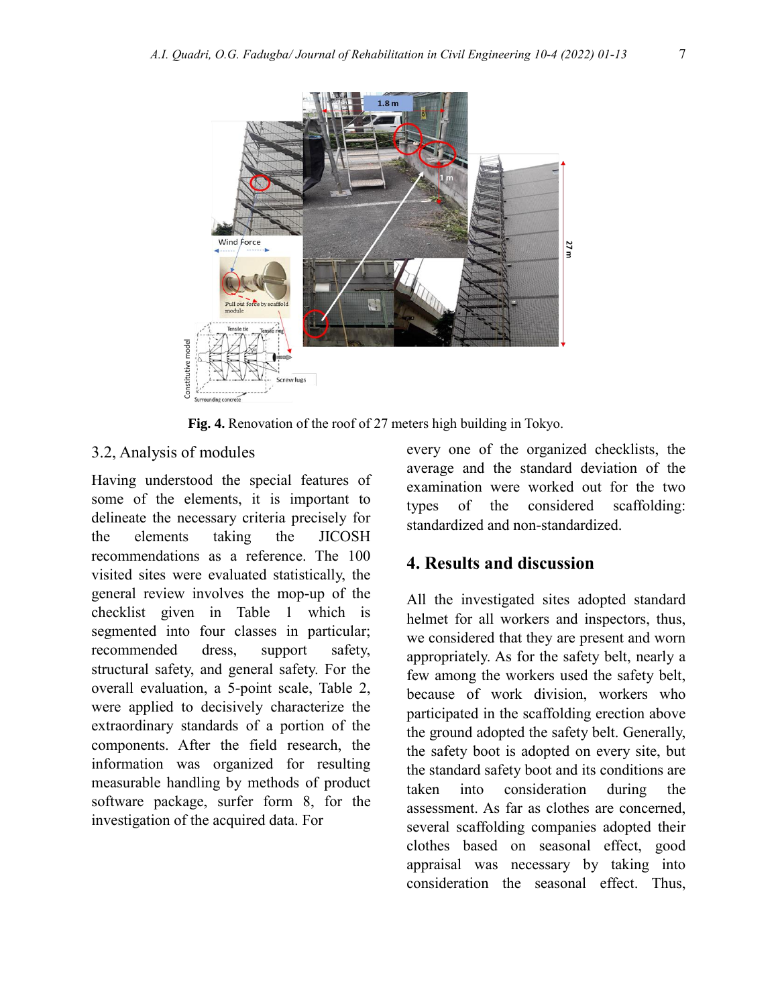

**Fig. 4.** Renovation of the roof of 27 meters high building in Tokyo.

#### 3.2, Analysis of modules

Having understood the special features of some of the elements, it is important to delineate the necessary criteria precisely for the elements taking the JICOSH recommendations as a reference. The 100 visited sites were evaluated statistically, the general review involves the mop-up of the checklist given in Table 1 which is segmented into four classes in particular; recommended dress, support safety, structural safety, and general safety. For the overall evaluation, a 5-point scale, Table 2, were applied to decisively characterize the extraordinary standards of a portion of the components. After the field research, the information was organized for resulting measurable handling by methods of product software package, surfer form 8, for the investigation of the acquired data. For

every one of the organized checklists, the average and the standard deviation of the examination were worked out for the two types of the considered scaffolding: standardized and non-standardized.

## **4. Results and discussion**

All the investigated sites adopted standard helmet for all workers and inspectors, thus, we considered that they are present and worn appropriately. As for the safety belt, nearly a few among the workers used the safety belt, because of work division, workers who participated in the scaffolding erection above the ground adopted the safety belt. Generally, the safety boot is adopted on every site, but the standard safety boot and its conditions are taken into consideration during the assessment. As far as clothes are concerned, several scaffolding companies adopted their clothes based on seasonal effect, good appraisal was necessary by taking into consideration the seasonal effect. Thus,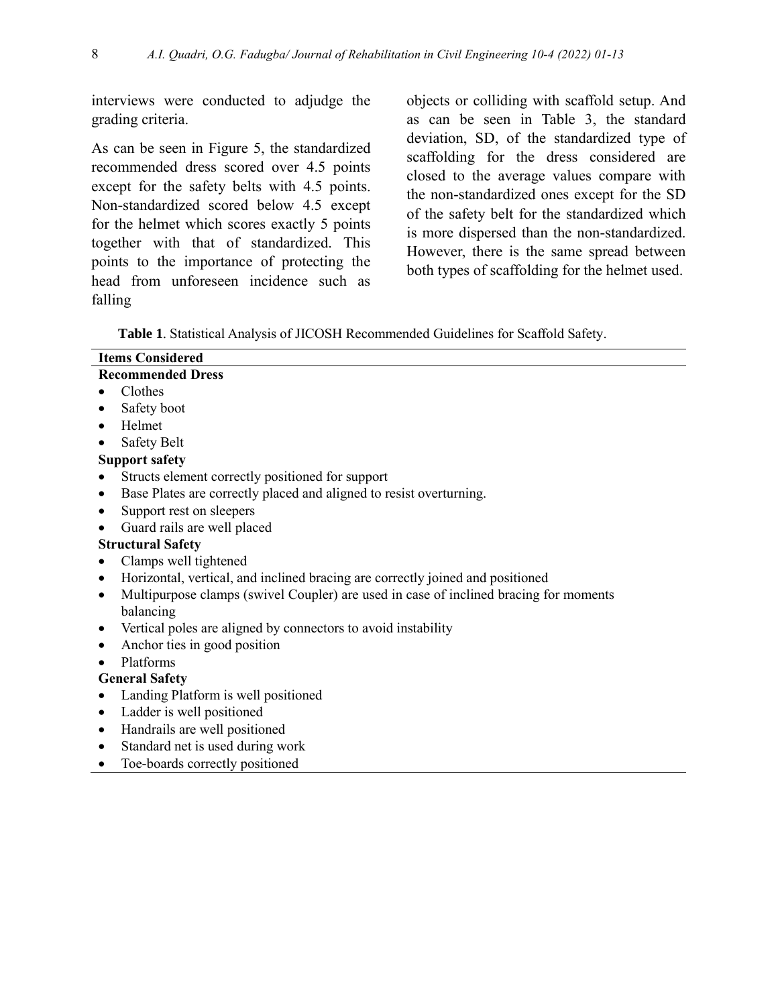interviews were conducted to adjudge the grading criteria.

As can be seen in Figure 5, the standardized recommended dress scored over 4.5 points except for the safety belts with 4.5 points. Non-standardized scored below 4.5 except for the helmet which scores exactly 5 points together with that of standardized. This points to the importance of protecting the head from unforeseen incidence such as falling

objects or colliding with scaffold setup. And as can be seen in Table 3, the standard deviation, SD, of the standardized type of scaffolding for the dress considered are closed to the average values compare with the non-standardized ones except for the SD of the safety belt for the standardized which is more dispersed than the non-standardized. However, there is the same spread between both types of scaffolding for the helmet used.

**Table 1**. Statistical Analysis of JICOSH Recommended Guidelines for Scaffold Safety.

|           | <b>Items Considered</b>                                                               |
|-----------|---------------------------------------------------------------------------------------|
|           | <b>Recommended Dress</b>                                                              |
|           | Clothes                                                                               |
|           | Safety boot                                                                           |
| $\bullet$ | Helmet                                                                                |
| $\bullet$ | <b>Safety Belt</b>                                                                    |
|           | <b>Support safety</b>                                                                 |
|           | Structs element correctly positioned for support                                      |
| ٠         | Base Plates are correctly placed and aligned to resist overturning.                   |
| ٠         | Support rest on sleepers                                                              |
| $\bullet$ | Guard rails are well placed                                                           |
|           | <b>Structural Safety</b>                                                              |
|           | Clamps well tightened                                                                 |
| $\bullet$ | Horizontal, vertical, and inclined bracing are correctly joined and positioned        |
| $\bullet$ | Multipurpose clamps (swivel Coupler) are used in case of inclined bracing for moments |
|           | balancing                                                                             |
| $\bullet$ | Vertical poles are aligned by connectors to avoid instability                         |
| $\bullet$ | Anchor ties in good position                                                          |
|           | Platforms                                                                             |
|           | <b>General Safety</b>                                                                 |
| $\bullet$ | Landing Platform is well positioned                                                   |
| ٠         | Ladder is well positioned                                                             |

- Handrails are well positioned
- Standard net is used during work
- Toe-boards correctly positioned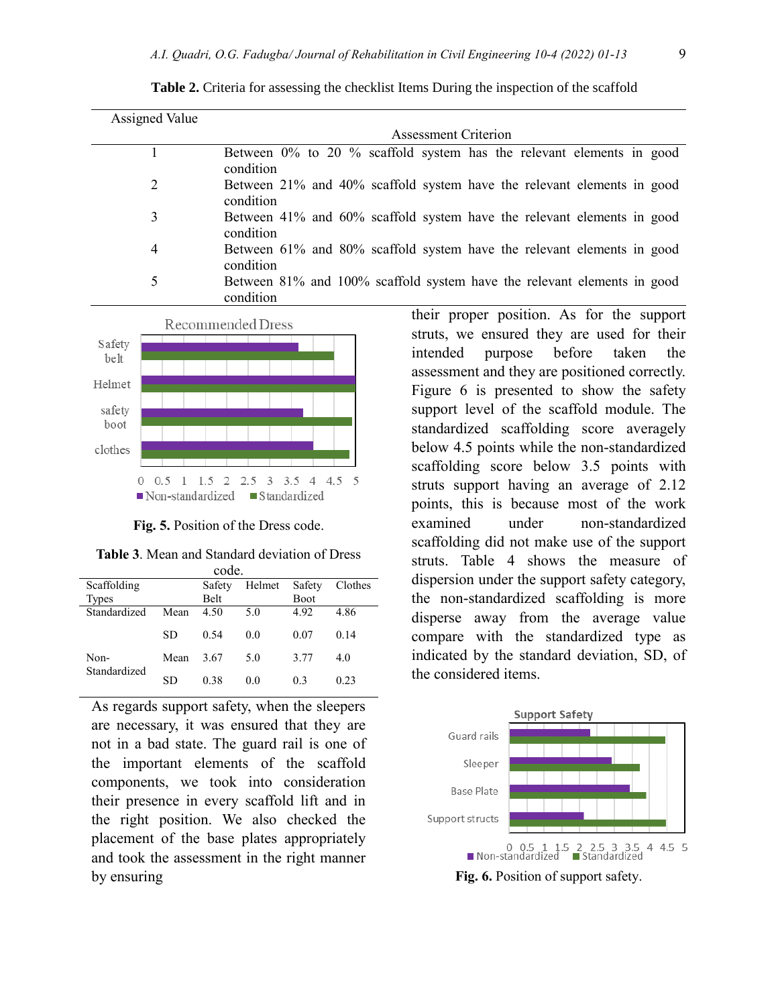| <b>Assigned Value</b> |                                                                                      |  |  |  |  |  |  |
|-----------------------|--------------------------------------------------------------------------------------|--|--|--|--|--|--|
|                       | <b>Assessment Criterion</b>                                                          |  |  |  |  |  |  |
|                       | Between 0% to 20 % scaffold system has the relevant elements in good<br>condition    |  |  |  |  |  |  |
| 2                     | Between 21% and 40% scaffold system have the relevant elements in good<br>condition  |  |  |  |  |  |  |
| 3                     | Between 41% and 60% scaffold system have the relevant elements in good<br>condition  |  |  |  |  |  |  |
| 4                     | Between 61% and 80% scaffold system have the relevant elements in good<br>condition  |  |  |  |  |  |  |
| 5                     | Between 81% and 100% scaffold system have the relevant elements in good<br>condition |  |  |  |  |  |  |





**Fig. 5.** Position of the Dress code.

| <b>Table 3.</b> Mean and Standard deviation of Dress |  |
|------------------------------------------------------|--|
| code.                                                |  |

| Scaffolding  |      | Safety      | Helmet | Safety      | Clothes |
|--------------|------|-------------|--------|-------------|---------|
| Types        |      | <b>Belt</b> |        | <b>Boot</b> |         |
| Standardized | Mean | 4.50        | 5.0    | 4.92        | 4.86    |
|              | SD   | 0.54        | 0.0    | 0.07        | 0.14    |
| Non-         | Mean | 3.67        | 5.0    | 3.77        | 4.0     |
| Standardized | SD   | 0.38        | 0.0    | 0.3         | 0.23    |

As regards support safety, when the sleepers are necessary, it was ensured that they are not in a bad state. The guard rail is one of the important elements of the scaffold components, we took into consideration their presence in every scaffold lift and in the right position. We also checked the placement of the base plates appropriately and took the assessment in the right manner by ensuring

their proper position. As for the support struts, we ensured they are used for their intended purpose before taken the assessment and they are positioned correctly. Figure 6 is presented to show the safety support level of the scaffold module. The standardized scaffolding score averagely below 4.5 points while the non-standardized scaffolding score below 3.5 points with struts support having an average of 2.12 points, this is because most of the work examined under non-standardized scaffolding did not make use of the support struts. Table 4 shows the measure of dispersion under the support safety category, the non-standardized scaffolding is more disperse away from the average value compare with the standardized type as indicated by the standard deviation, SD, of the considered items.



**Fig. 6.** Position of support safety.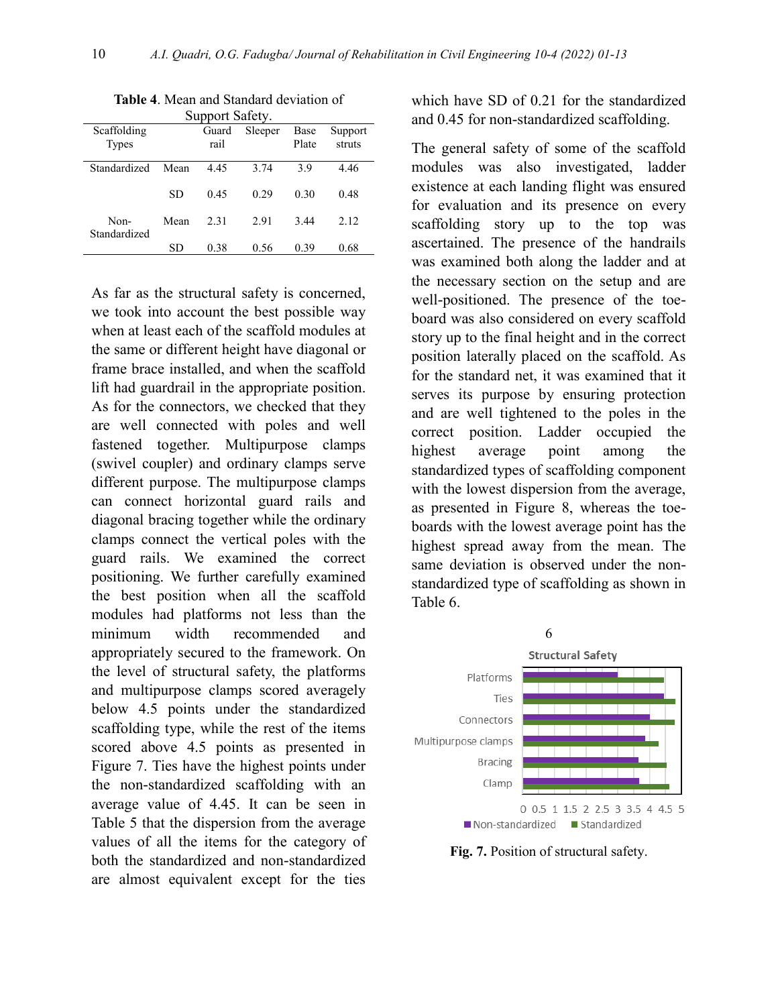| Support Salety.      |      |       |         |       |         |  |  |
|----------------------|------|-------|---------|-------|---------|--|--|
| Scaffolding          |      | Guard | Sleeper | Base  | Support |  |  |
| <b>Types</b>         |      | rail  |         | Plate | struts  |  |  |
| Standardized         | Mean | 4.45  | 3.74    | 3.9   | 4.46    |  |  |
|                      | SD   | 0.45  | 0.29    | 0.30  | 0.48    |  |  |
| Non-<br>Standardized | Mean | 2.31  | 2.91    | 3.44  | 2.12    |  |  |
|                      | SD   | 0.38  | 0.56    | 0.39  | 0.68    |  |  |
|                      |      |       |         |       |         |  |  |

**Table 4**. Mean and Standard deviation of Support Safety.

As far as the structural safety is concerned, we took into account the best possible way when at least each of the scaffold modules at the same or different height have diagonal or frame brace installed, and when the scaffold lift had guardrail in the appropriate position. As for the connectors, we checked that they are well connected with poles and well fastened together. Multipurpose clamps (swivel coupler) and ordinary clamps serve different purpose. The multipurpose clamps can connect horizontal guard rails and diagonal bracing together while the ordinary clamps connect the vertical poles with the guard rails. We examined the correct positioning. We further carefully examined the best position when all the scaffold modules had platforms not less than the minimum width recommended and appropriately secured to the framework. On the level of structural safety, the platforms and multipurpose clamps scored averagely below 4.5 points under the standardized scaffolding type, while the rest of the items scored above 4.5 points as presented in Figure 7. Ties have the highest points under the non-standardized scaffolding with an average value of 4.45. It can be seen in Table 5 that the dispersion from the average values of all the items for the category of both the standardized and non-standardized are almost equivalent except for the ties

which have SD of 0.21 for the standardized and 0.45 for non-standardized scaffolding.

The general safety of some of the scaffold modules was also investigated, ladder existence at each landing flight was ensured for evaluation and its presence on every scaffolding story up to the top was ascertained. The presence of the handrails was examined both along the ladder and at the necessary section on the setup and are well-positioned. The presence of the toeboard was also considered on every scaffold story up to the final height and in the correct position laterally placed on the scaffold. As for the standard net, it was examined that it serves its purpose by ensuring protection and are well tightened to the poles in the correct position. Ladder occupied the highest average point among the standardized types of scaffolding component with the lowest dispersion from the average, as presented in Figure 8, whereas the toeboards with the lowest average point has the highest spread away from the mean. The same deviation is observed under the nonstandardized type of scaffolding as shown in Table 6.



**Fig. 7.** Position of structural safety.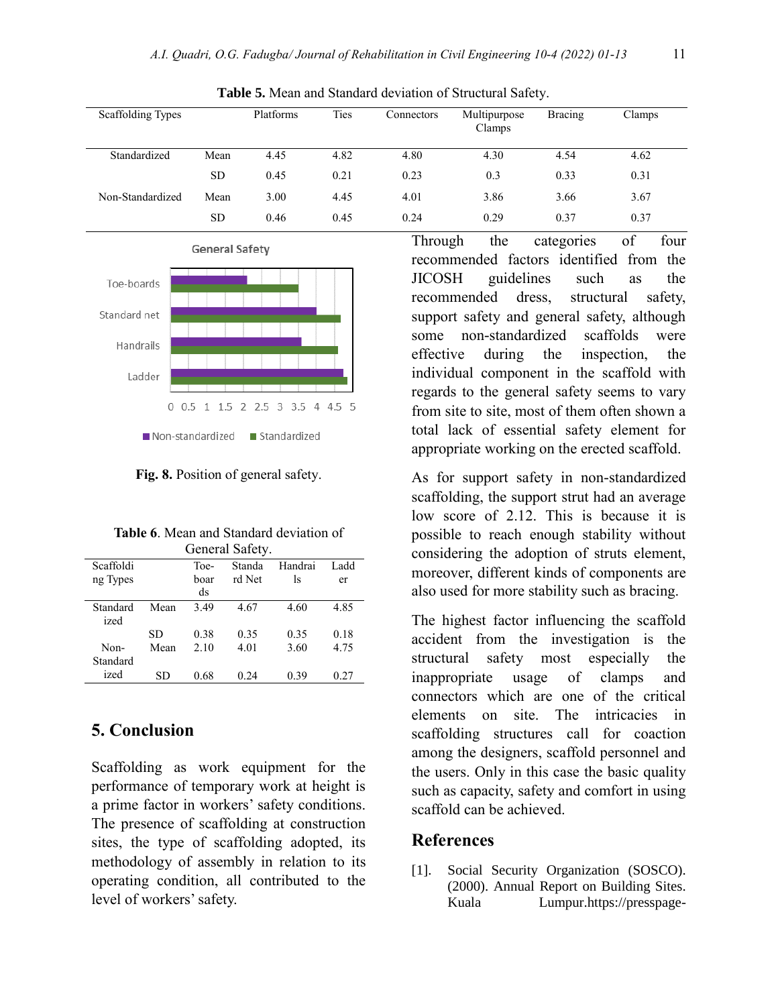| Scaffolding Types |           | Platforms | Ties | Connectors | Multipurpose<br>Clamps | <b>Bracing</b> | Clamps |
|-------------------|-----------|-----------|------|------------|------------------------|----------------|--------|
| Standardized      | Mean      | 4.45      | 4.82 | 4.80       | 4.30                   | 4.54           | 4.62   |
|                   | <b>SD</b> | 0.45      | 0.21 | 0.23       | 0.3                    | 0.33           | 0.31   |
| Non-Standardized  | Mean      | 3.00      | 4.45 | 4.01       | 3.86                   | 3.66           | 3.67   |
|                   | <b>SD</b> | 0.46      | 0.45 | 0.24       | 0.29                   | 0.37           | 0.37   |





**Fig. 8.** Position of general safety.

**Table 6**. Mean and Standard deviation of General Safety.

|                                                  | Toe- |        |         |       |
|--------------------------------------------------|------|--------|---------|-------|
| Scaffoldi                                        |      | Standa | Handrai | Ladd. |
| rd Net<br>boar<br>ng Types<br>ls                 |      |        |         | er    |
| ds                                               |      |        |         |       |
| 3.49<br>Standard<br>4.67<br>4.60<br>Mean<br>ized |      |        |         | 4.85  |
| 0.38<br>0.35<br>0.35<br>SD                       |      |        |         | 0.18  |
| 4.01<br>2.10<br>3.60<br>Mean<br>Non-             |      |        |         | 4.75  |
| Standard                                         |      |        |         |       |
| ized<br>0.68<br>0.39<br>0.24<br>SD               |      |        |         | 0.27  |

## **5. Conclusion**

Scaffolding as work equipment for the performance of temporary work at height is a prime factor in workers' safety conditions. The presence of scaffolding at construction sites, the type of scaffolding adopted, its methodology of assembly in relation to its operating condition, all contributed to the level of workers' safety.

Through the categories of four recommended factors identified from the JICOSH guidelines such as the recommended dress, structural safety, support safety and general safety, although some non-standardized scaffolds were effective during the inspection, the individual component in the scaffold with regards to the general safety seems to vary from site to site, most of them often shown a total lack of essential safety element for appropriate working on the erected scaffold.

As for support safety in non-standardized scaffolding, the support strut had an average low score of 2.12. This is because it is possible to reach enough stability without considering the adoption of struts element, moreover, different kinds of components are also used for more stability such as bracing.

The highest factor influencing the scaffold accident from the investigation is the structural safety most especially the inappropriate usage of clamps and connectors which are one of the critical elements on site. The intricacies in scaffolding structures call for coaction among the designers, scaffold personnel and the users. Only in this case the basic quality such as capacity, safety and comfort in using scaffold can be achieved.

## **References**

[1]. Social Security Organization (SOSCO). (2000). Annual Report on Building Sites. Kuala Lumpur.https://presspage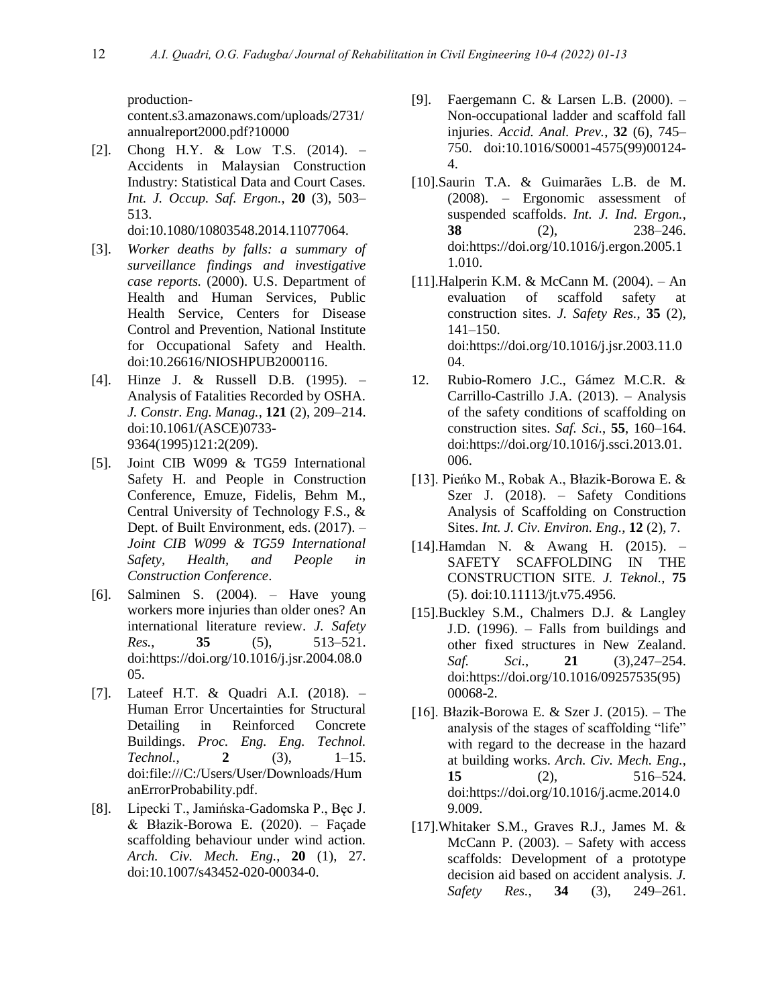productioncontent.s3.amazonaws.com/uploads/2731/ annualreport2000.pdf?10000

[2]. Chong H.Y. & Low T.S. (2014). – Accidents in Malaysian Construction Industry: Statistical Data and Court Cases. *Int. J. Occup. Saf. Ergon.*, **20** (3), 503– 513.

doi:10.1080/10803548.2014.11077064.

- [3]. *Worker deaths by falls: a summary of surveillance findings and investigative case reports.* (2000). U.S. Department of Health and Human Services, Public Health Service, Centers for Disease Control and Prevention, National Institute for Occupational Safety and Health. doi:10.26616/NIOSHPUB2000116.
- [4]. Hinze J. & Russell D.B. (1995). Analysis of Fatalities Recorded by OSHA. *J. Constr. Eng. Manag.*, **121** (2), 209–214. doi:10.1061/(ASCE)0733- 9364(1995)121:2(209).
- [5]. Joint CIB W099 & TG59 International Safety H. and People in Construction Conference, Emuze, Fidelis, Behm M., Central University of Technology F.S., & Dept. of Built Environment, eds. (2017). – *Joint CIB W099 & TG59 International Safety, Health, and People in Construction Conference*.
- [6]. Salminen S. (2004). Have young workers more injuries than older ones? An international literature review. *J. Safety Res.*, **35** (5), 513–521. doi:https://doi.org/10.1016/j.jsr.2004.08.0 05.
- [7]. Lateef H.T. & Quadri A.I. (2018). Human Error Uncertainties for Structural Detailing in Reinforced Concrete Buildings. *Proc. Eng. Eng. Technol. Technol.*, **2** (3), 1–15. doi:file:///C:/Users/User/Downloads/Hum anErrorProbability.pdf.
- [8]. Lipecki T., Jamińska-Gadomska P., Bęc J. & Błazik-Borowa E. (2020). – Façade scaffolding behaviour under wind action. *Arch. Civ. Mech. Eng.*, **20** (1), 27. doi:10.1007/s43452-020-00034-0.
- [9]. Faergemann C. & Larsen L.B. (2000). Non-occupational ladder and scaffold fall injuries. *Accid. Anal. Prev.*, **32** (6), 745– 750. doi:10.1016/S0001-4575(99)00124- 4.
- [10].Saurin T.A. & Guimarães L.B. de M. (2008). – Ergonomic assessment of suspended scaffolds. *Int. J. Ind. Ergon.*, **38** (2), 238–246. doi:https://doi.org/10.1016/j.ergon.2005.1 1.010.
- [11].Halperin K.M. & McCann M. (2004). An evaluation of scaffold safety at construction sites. *J. Safety Res.*, **35** (2), 141–150. doi:https://doi.org/10.1016/j.jsr.2003.11.0 04.
- 12. Rubio-Romero J.C., Gámez M.C.R. & Carrillo-Castrillo J.A. (2013). – Analysis of the safety conditions of scaffolding on construction sites. *Saf. Sci.*, **55**, 160–164. doi:https://doi.org/10.1016/j.ssci.2013.01. 006.
- [13]. Pieńko M., Robak A., Błazik-Borowa E. & Szer J. (2018). – Safety Conditions Analysis of Scaffolding on Construction Sites. *Int. J. Civ. Environ. Eng.*, **12** (2), 7.
- [14].Hamdan N. & Awang H. (2015). SAFETY SCAFFOLDING IN THE CONSTRUCTION SITE. *J. Teknol.*, **75** (5). doi:10.11113/jt.v75.4956.
- [15].Buckley S.M., Chalmers D.J. & Langley J.D. (1996). – Falls from buildings and other fixed structures in New Zealand. *Saf. Sci.*, **21** (3),247–254. doi:https://doi.org/10.1016/09257535(95) 00068-2.
- [16]. Błazik-Borowa E. & Szer J. (2015). The analysis of the stages of scaffolding "life" with regard to the decrease in the hazard at building works. *Arch. Civ. Mech. Eng.*, **15** (2), 516–524. doi:https://doi.org/10.1016/j.acme.2014.0 9.009.
- [17].Whitaker S.M., Graves R.J., James M. & McCann P. (2003). – Safety with access scaffolds: Development of a prototype decision aid based on accident analysis. *J. Safety Res.*, **34** (3), 249–261.